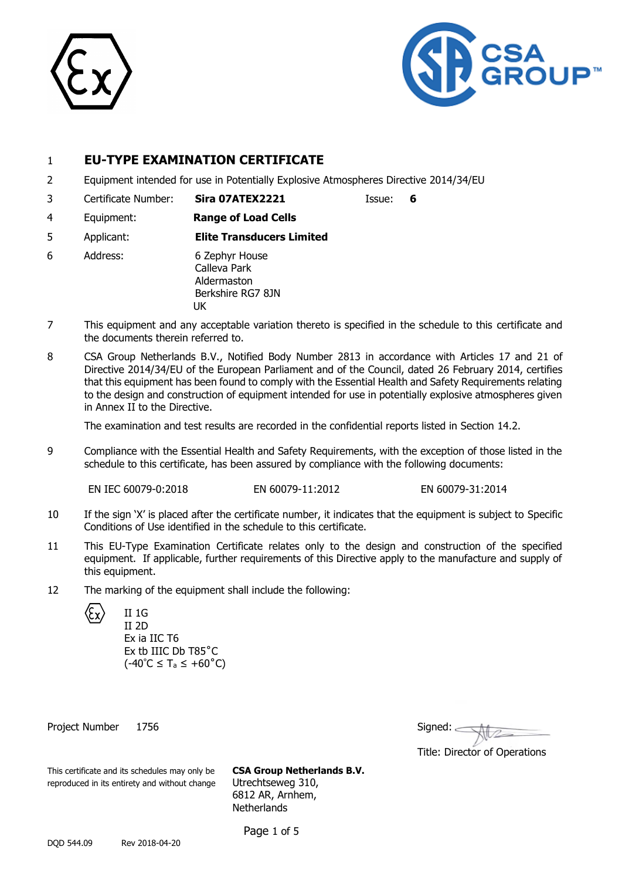



## 1 **EU-TYPE EXAMINATION CERTIFICATE**

- 2 Equipment intended for use in Potentially Explosive Atmospheres Directive 2014/34/EU
- 3 Certificate Number: **Sira 07ATEX2221** Issue: **6**

- 4 Equipment: **Range of Load Cells**
- 5 Applicant: **Elite Transducers Limited**
- 6 Address: 6 Zephyr House Calleva Park Aldermaston Berkshire RG7 8JN UK
- 7 This equipment and any acceptable variation thereto is specified in the schedule to this certificate and the documents therein referred to.
- 8 CSA Group Netherlands B.V., Notified Body Number 2813 in accordance with Articles 17 and 21 of Directive 2014/34/EU of the European Parliament and of the Council, dated 26 February 2014, certifies that this equipment has been found to comply with the Essential Health and Safety Requirements relating to the design and construction of equipment intended for use in potentially explosive atmospheres given in Annex II to the Directive.

The examination and test results are recorded in the confidential reports listed in Section 14.2.

9 Compliance with the Essential Health and Safety Requirements, with the exception of those listed in the schedule to this certificate, has been assured by compliance with the following documents:

EN IEC 60079-0:2018 EN 60079-11:2012 EN 60079-31:2014

Title: Director of Operations

- 10 If the sign 'X' is placed after the certificate number, it indicates that the equipment is subject to Specific Conditions of Use identified in the schedule to this certificate.
- 11 This EU-Type Examination Certificate relates only to the design and construction of the specified equipment. If applicable, further requirements of this Directive apply to the manufacture and supply of this equipment.
- 12 The marking of the equipment shall include the following:

| $\langle \xi \chi \rangle$ | II 1G<br>11 2D |
|----------------------------|----------------|
|                            | Ex ia I        |
|                            | Ex th 1        |

IC T6 IIIC Db T85°C  $(-40^{\circ}C \leq T_a \leq +60^{\circ}C)$ 

Project Number 1756 Signed: 2008 Signed: 2008 Signed: 2008 Signed: 2008 Signed: 2008 Signed: 2008 Signed: 2008 Signed: 2008 Signed: 2008 Signed: 2008 Signed: 2008 Signed: 2008 Signed: 2008 Signed: 2008 Signed: 2008 Signed:

| This certificate and its schedules may only be | <b>CSA Group Netherlands B.V.</b> |
|------------------------------------------------|-----------------------------------|
| reproduced in its entirety and without change  | Utrechtseweg 310,                 |

6812 AR, Arnhem, **Netherlands** 

Page 1 of 5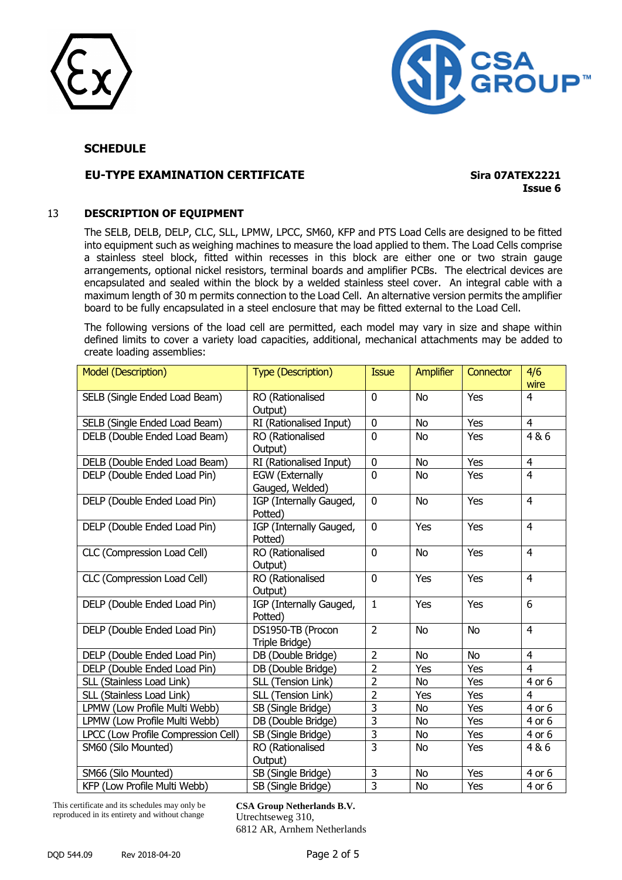



## **EU-TYPE EXAMINATION CERTIFICATE Sira 07ATEX2221**

**Issue 6**

#### 13 **DESCRIPTION OF EQUIPMENT**

The SELB, DELB, DELP, CLC, SLL, LPMW, LPCC, SM60, KFP and PTS Load Cells are designed to be fitted into equipment such as weighing machines to measure the load applied to them. The Load Cells comprise a stainless steel block, fitted within recesses in this block are either one or two strain gauge arrangements, optional nickel resistors, terminal boards and amplifier PCBs. The electrical devices are encapsulated and sealed within the block by a welded stainless steel cover. An integral cable with a maximum length of 30 m permits connection to the Load Cell. An alternative version permits the amplifier board to be fully encapsulated in a steel enclosure that may be fitted external to the Load Cell.

The following versions of the load cell are permitted, each model may vary in size and shape within defined limits to cover a variety load capacities, additional, mechanical attachments may be added to create loading assemblies:

| <b>Model (Description)</b>          | <b>Type (Description)</b>                 | <b>Issue</b>   | <b>Amplifier</b> | <b>Connector</b> | 4/6<br>wire    |
|-------------------------------------|-------------------------------------------|----------------|------------------|------------------|----------------|
| SELB (Single Ended Load Beam)       | RO (Rationalised<br>Output)               | $\mathbf{0}$   | <b>No</b>        | Yes              | $\overline{4}$ |
| SELB (Single Ended Load Beam)       | RI (Rationalised Input)                   | $\mathbf 0$    | <b>No</b>        | <b>Yes</b>       | $\overline{4}$ |
| DELB (Double Ended Load Beam)       | RO (Rationalised<br>Output)               | $\overline{0}$ | <b>No</b>        | Yes              | 4&6            |
| DELB (Double Ended Load Beam)       | RI (Rationalised Input)                   | 0              | <b>No</b>        | Yes              | $\overline{4}$ |
| DELP (Double Ended Load Pin)        | <b>EGW</b> (Externally<br>Gauged, Welded) | $\overline{0}$ | <b>No</b>        | Yes              | $\overline{4}$ |
| DELP (Double Ended Load Pin)        | IGP (Internally Gauged,<br>Potted)        | $\overline{0}$ | <b>No</b>        | Yes              | $\overline{4}$ |
| DELP (Double Ended Load Pin)        | IGP (Internally Gauged,<br>Potted)        | $\mathbf 0$    | Yes              | Yes              | $\overline{4}$ |
| CLC (Compression Load Cell)         | RO (Rationalised<br>Output)               | 0              | <b>No</b>        | Yes              | $\overline{4}$ |
| CLC (Compression Load Cell)         | RO (Rationalised<br>Output)               | 0              | Yes              | Yes              | $\overline{4}$ |
| DELP (Double Ended Load Pin)        | IGP (Internally Gauged,<br>Potted)        | $\mathbf{1}$   | Yes              | Yes              | 6              |
| DELP (Double Ended Load Pin)        | DS1950-TB (Procon<br>Triple Bridge)       | $\overline{2}$ | <b>No</b>        | No               | $\overline{4}$ |
| DELP (Double Ended Load Pin)        | DB (Double Bridge)                        | $\overline{2}$ | <b>No</b>        | No               | $\overline{4}$ |
| DELP (Double Ended Load Pin)        | DB (Double Bridge)                        | $\overline{2}$ | Yes              | Yes              | 4              |
| SLL (Stainless Load Link)           | SLL (Tension Link)                        | $\overline{2}$ | No               | Yes              | 4 or 6         |
| SLL (Stainless Load Link)           | SLL (Tension Link)                        | $\overline{2}$ | Yes              | Yes              | 4              |
| LPMW (Low Profile Multi Webb)       | SB (Single Bridge)                        | $\overline{3}$ | <b>No</b>        | Yes              | 4 or 6         |
| LPMW (Low Profile Multi Webb)       | DB (Double Bridge)                        | $\overline{3}$ | <b>No</b>        | Yes              | 4 or 6         |
| LPCC (Low Profile Compression Cell) | SB (Single Bridge)                        | 3              | No               | Yes              | 4 or 6         |
| SM60 (Silo Mounted)                 | RO (Rationalised<br>Output)               | 3              | <b>No</b>        | Yes              | 4&6            |
| SM66 (Silo Mounted)                 | SB (Single Bridge)                        | 3              | <b>No</b>        | Yes              | 4 or 6         |
| KFP (Low Profile Multi Webb)        | SB (Single Bridge)                        | $\overline{3}$ | <b>No</b>        | Yes              | 4 or 6         |

This certificate and its schedules may only be reproduced in its entirety and without change

**CSA Group Netherlands B.V.** Utrechtseweg 310, 6812 AR, Arnhem Netherlands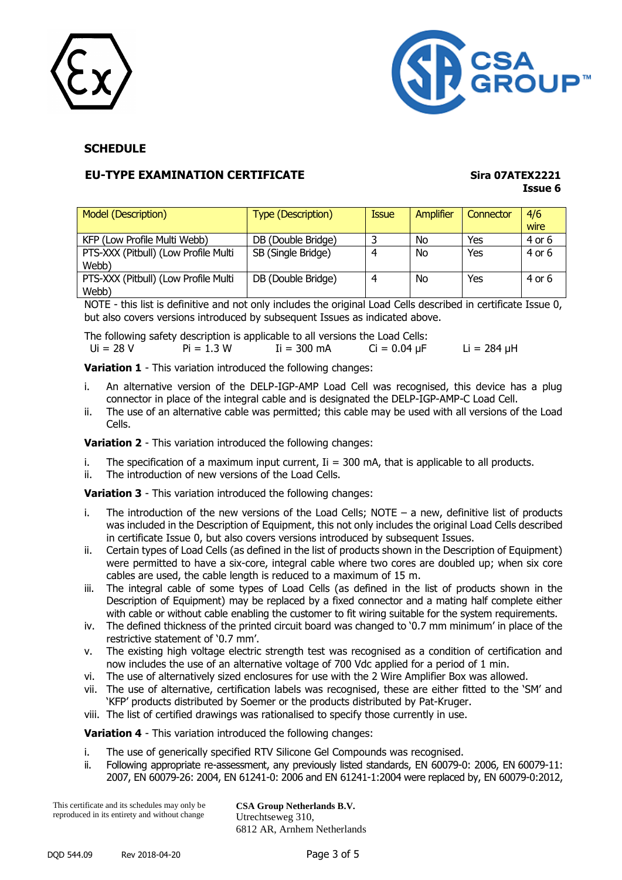



## **EU-TYPE EXAMINATION CERTIFICATE Sira 07ATEX2221**

# **Issue 6**

| Model (Description)                           | <b>Type (Description)</b> | <b>Issue</b> | Amplifier | Connector | 4/6<br>wire |
|-----------------------------------------------|---------------------------|--------------|-----------|-----------|-------------|
| KFP (Low Profile Multi Webb)                  | DB (Double Bridge)        |              | No        | Yes       | 4 or 6      |
| PTS-XXX (Pitbull) (Low Profile Multi<br>Webb) | SB (Single Bridge)        | Δ            | <b>No</b> | Yes       | 4 or 6      |
| PTS-XXX (Pitbull) (Low Profile Multi<br>Webb) | DB (Double Bridge)        |              | No        | Yes       | 4 or 6      |

NOTE - this list is definitive and not only includes the original Load Cells described in certificate Issue 0, but also covers versions introduced by subsequent Issues as indicated above.

|             |              | The following safety description is applicable to all versions the Load Cells: |                   |                  |
|-------------|--------------|--------------------------------------------------------------------------------|-------------------|------------------|
| - Ui = 28 V | $Pi = 1.3 W$ | $I_i = 300$ mA                                                                 | $Ci = 0.04 \mu F$ | $Li = 284 \mu H$ |

**Variation 1** - This variation introduced the following changes:

- i. An alternative version of the DELP-IGP-AMP Load Cell was recognised, this device has a plug connector in place of the integral cable and is designated the DELP-IGP-AMP-C Load Cell.
- ii. The use of an alternative cable was permitted; this cable may be used with all versions of the Load Cells.

**Variation 2** - This variation introduced the following changes:

- i. The specification of a maximum input current,  $I = 300$  mA, that is applicable to all products.
- ii. The introduction of new versions of the Load Cells.

**Variation 3** - This variation introduced the following changes:

- i. The introduction of the new versions of the Load Cells; NOTE  $-$  a new, definitive list of products was included in the Description of Equipment, this not only includes the original Load Cells described in certificate Issue 0, but also covers versions introduced by subsequent Issues.
- ii. Certain types of Load Cells (as defined in the list of products shown in the Description of Equipment) were permitted to have a six-core, integral cable where two cores are doubled up; when six core cables are used, the cable length is reduced to a maximum of 15 m.
- iii. The integral cable of some types of Load Cells (as defined in the list of products shown in the Description of Equipment) may be replaced by a fixed connector and a mating half complete either with cable or without cable enabling the customer to fit wiring suitable for the system requirements.
- iv. The defined thickness of the printed circuit board was changed to '0.7 mm minimum' in place of the restrictive statement of '0.7 mm'.
- v. The existing high voltage electric strength test was recognised as a condition of certification and now includes the use of an alternative voltage of 700 Vdc applied for a period of 1 min.
- vi. The use of alternatively sized enclosures for use with the 2 Wire Amplifier Box was allowed.
- vii. The use of alternative, certification labels was recognised, these are either fitted to the 'SM' and 'KFP' products distributed by Soemer or the products distributed by Pat-Kruger.
- viii. The list of certified drawings was rationalised to specify those currently in use.

**Variation 4** - This variation introduced the following changes:

- i. The use of generically specified RTV Silicone Gel Compounds was recognised.
- ii. Following appropriate re-assessment, any previously listed standards, EN 60079-0: 2006, EN 60079-11: 2007, EN 60079-26: 2004, EN 61241-0: 2006 and EN 61241-1:2004 were replaced by, EN 60079-0:2012,

This certificate and its schedules may only be reproduced in its entirety and without change **CSA Group Netherlands B.V.** Utrechtseweg 310, 6812 AR, Arnhem Netherlands

DQD 544.09 Rev 2018-04-20 Page 3 of 5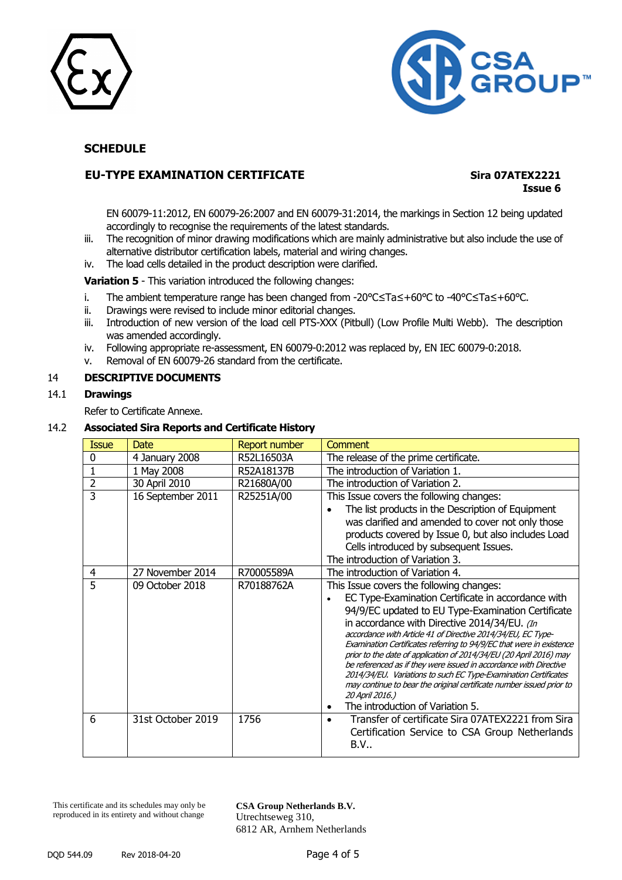



## **EU-TYPE EXAMINATION CERTIFICATE Sira 07ATEX2221**

## **Issue 6**

EN 60079-11:2012, EN 60079-26:2007 and EN 60079-31:2014, the markings in Section 12 being updated accordingly to recognise the requirements of the latest standards.

- iii. The recognition of minor drawing modifications which are mainly administrative but also include the use of alternative distributor certification labels, material and wiring changes.
- iv. The load cells detailed in the product description were clarified.

**Variation 5** - This variation introduced the following changes:

- i. The ambient temperature range has been changed from -20°C≤Ta≤+60°C to -40°C≤Ta≤+60°C.
- ii. Drawings were revised to include minor editorial changes.
- iii. Introduction of new version of the load cell PTS-XXX (Pitbull) (Low Profile Multi Webb). The description was amended accordingly.
- iv. Following appropriate re-assessment, EN 60079-0:2012 was replaced by, EN IEC 60079-0:2018.
- v. Removal of EN 60079-26 standard from the certificate.

#### 14 **DESCRIPTIVE DOCUMENTS**

#### 14.1 **Drawings**

Refer to Certificate Annexe.

#### 14.2 **Associated Sira Reports and Certificate History**

| <b>Issue</b>   | <b>Date</b>       | Report number | Comment                                                                                                                                                                                                                                                                                                                                                                                                                                                                                                                                                                                                                                                                                                |
|----------------|-------------------|---------------|--------------------------------------------------------------------------------------------------------------------------------------------------------------------------------------------------------------------------------------------------------------------------------------------------------------------------------------------------------------------------------------------------------------------------------------------------------------------------------------------------------------------------------------------------------------------------------------------------------------------------------------------------------------------------------------------------------|
| 0              | 4 January 2008    | R52L16503A    | The release of the prime certificate.                                                                                                                                                                                                                                                                                                                                                                                                                                                                                                                                                                                                                                                                  |
|                | 1 May 2008        | R52A18137B    | The introduction of Variation 1.                                                                                                                                                                                                                                                                                                                                                                                                                                                                                                                                                                                                                                                                       |
| $\overline{2}$ | 30 April 2010     | R21680A/00    | The introduction of Variation 2.                                                                                                                                                                                                                                                                                                                                                                                                                                                                                                                                                                                                                                                                       |
| 3              | 16 September 2011 | R25251A/00    | This Issue covers the following changes:<br>The list products in the Description of Equipment<br>was clarified and amended to cover not only those<br>products covered by Issue 0, but also includes Load<br>Cells introduced by subsequent Issues.<br>The introduction of Variation 3.                                                                                                                                                                                                                                                                                                                                                                                                                |
| 4              | 27 November 2014  | R70005589A    | The introduction of Variation 4.                                                                                                                                                                                                                                                                                                                                                                                                                                                                                                                                                                                                                                                                       |
| 5              | 09 October 2018   | R70188762A    | This Issue covers the following changes:<br>EC Type-Examination Certificate in accordance with<br>94/9/EC updated to EU Type-Examination Certificate<br>in accordance with Directive 2014/34/EU. (In<br>accordance with Article 41 of Directive 2014/34/EU, EC Type-<br>Examination Certificates referring to 94/9/EC that were in existence<br>prior to the date of application of 2014/34/EU (20 April 2016) may<br>be referenced as if they were issued in accordance with Directive<br>2014/34/EU. Variations to such EC Type-Examination Certificates<br>may continue to bear the original certificate number issued prior to<br>20 April 2016.)<br>The introduction of Variation 5.<br>$\bullet$ |
| 6              | 31st October 2019 | 1756          | Transfer of certificate Sira 07ATEX2221 from Sira<br>$\bullet$<br>Certification Service to CSA Group Netherlands<br>B.V.                                                                                                                                                                                                                                                                                                                                                                                                                                                                                                                                                                               |

This certificate and its schedules may only be reproduced in its entirety and without change

**CSA Group Netherlands B.V.** Utrechtseweg 310, 6812 AR, Arnhem Netherlands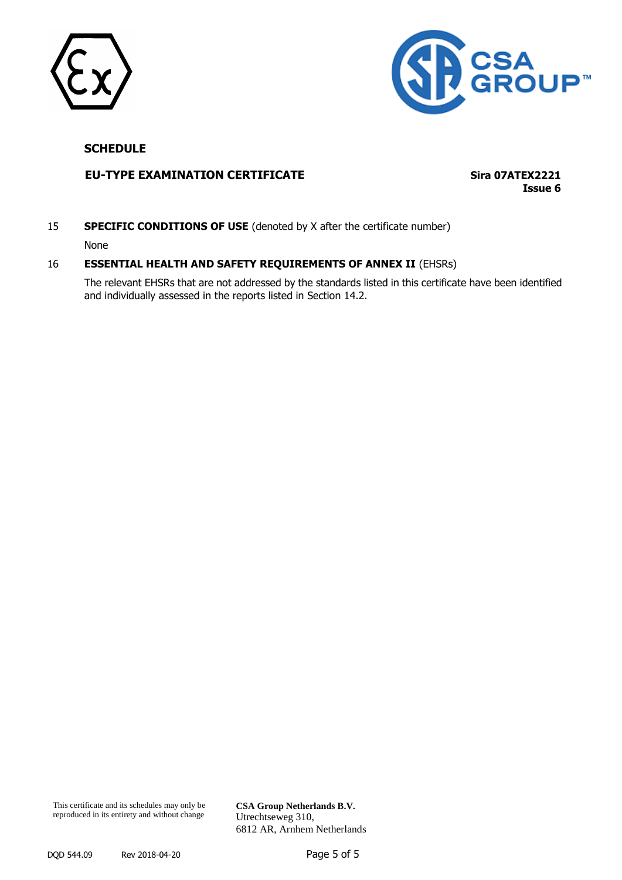



## **EU-TYPE EXAMINATION CERTIFICATE Sira 07ATEX2221**

**Issue 6**

**SPECIFIC CONDITIONS OF USE** (denoted by X after the certificate number)

None

#### 16 **ESSENTIAL HEALTH AND SAFETY REQUIREMENTS OF ANNEX II** (EHSRs)

The relevant EHSRs that are not addressed by the standards listed in this certificate have been identified and individually assessed in the reports listed in Section 14.2.

**CSA Group Netherlands B.V.** Utrechtseweg 310, 6812 AR, Arnhem Netherlands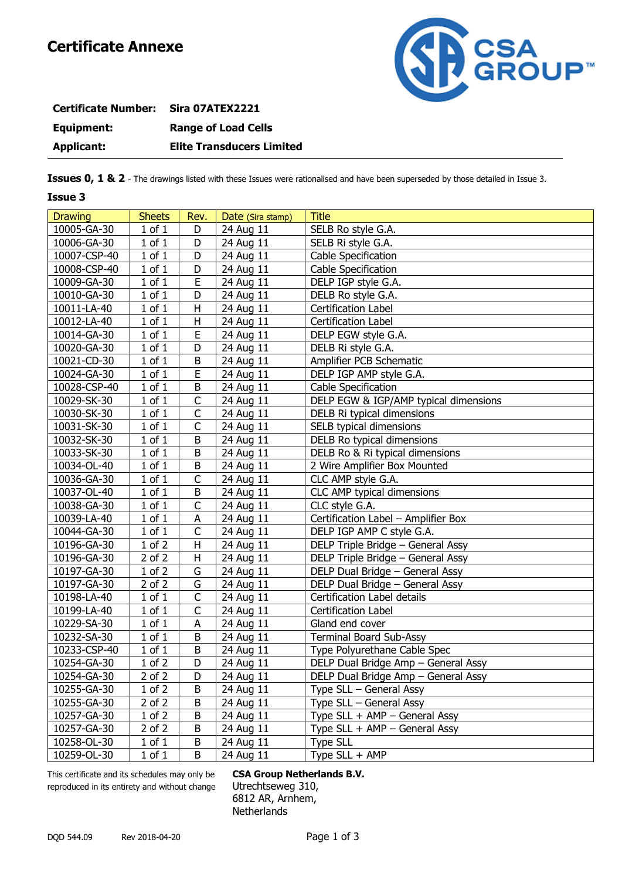

| <b>Certificate Number:</b> | Sira 07ATEX2221                  |
|----------------------------|----------------------------------|
| Equipment:                 | <b>Range of Load Cells</b>       |
| Applicant:                 | <b>Elite Transducers Limited</b> |

**Issues 0, 1 & 2** - The drawings listed with these Issues were rationalised and have been superseded by those detailed in Issue 3.

#### **Issue 3**

| <b>Drawing</b> | <b>Sheets</b> | Rev.           | Date (Sira stamp) | <b>Title</b>                          |
|----------------|---------------|----------------|-------------------|---------------------------------------|
| 10005-GA-30    | $1$ of $1$    | D              | 24 Aug 11         | SELB Ro style G.A.                    |
| 10006-GA-30    | $1$ of $1$    | D              | 24 Aug 11         | SELB Ri style G.A.                    |
| 10007-CSP-40   | $1$ of $1$    | D              | 24 Aug 11         | Cable Specification                   |
| 10008-CSP-40   | $1$ of $1$    | D              | 24 Aug 11         | Cable Specification                   |
| 10009-GA-30    | $1$ of $1$    | E              | 24 Aug 11         | DELP IGP style G.A.                   |
| 10010-GA-30    | $1$ of $1$    | D              | 24 Aug 11         | DELB Ro style G.A.                    |
| 10011-LA-40    | $1$ of $1$    | Н              | 24 Aug 11         | Certification Label                   |
| 10012-LA-40    | $1$ of $1$    | Н              | 24 Aug 11         | Certification Label                   |
| 10014-GA-30    | $1$ of $1$    | E              | 24 Aug 11         | DELP EGW style G.A.                   |
| 10020-GA-30    | $1$ of $1$    | D              | 24 Aug 11         | DELB Ri style G.A.                    |
| 10021-CD-30    | $1$ of $1$    | $\sf B$        | 24 Aug 11         | Amplifier PCB Schematic               |
| 10024-GA-30    | $1$ of $1$    | E              | 24 Aug 11         | DELP IGP AMP style G.A.               |
| 10028-CSP-40   | $1$ of $1$    | $\sf B$        | 24 Aug 11         | Cable Specification                   |
| 10029-SK-30    | $1$ of $1$    | $\mathsf C$    | 24 Aug 11         | DELP EGW & IGP/AMP typical dimensions |
| 10030-SK-30    | $1$ of $1$    | $\mathsf C$    | 24 Aug 11         | DELB Ri typical dimensions            |
| 10031-SK-30    | $1$ of $1$    | $\mathsf C$    | 24 Aug 11         | SELB typical dimensions               |
| 10032-SK-30    | $1$ of $1$    | B              | 24 Aug 11         | DELB Ro typical dimensions            |
| 10033-SK-30    | $1$ of $1$    | B              | 24 Aug 11         | DELB Ro & Ri typical dimensions       |
| 10034-OL-40    | $1$ of $1$    | B              | 24 Aug 11         | 2 Wire Amplifier Box Mounted          |
| 10036-GA-30    | $1$ of $1$    | $\mathsf C$    | 24 Aug 11         | CLC AMP style G.A.                    |
| 10037-OL-40    | $1$ of $1$    | $\sf B$        | 24 Aug 11         | CLC AMP typical dimensions            |
| 10038-GA-30    | $1$ of $1$    | $\mathsf{C}$   | 24 Aug 11         | CLC style G.A.                        |
| 10039-LA-40    | $1$ of $1$    | A              | 24 Aug 11         | Certification Label - Amplifier Box   |
| 10044-GA-30    | $1$ of $1$    | $\mathsf C$    | 24 Aug 11         | DELP IGP AMP C style G.A.             |
| 10196-GA-30    | $1$ of $2$    | $\sf H$        | 24 Aug 11         | DELP Triple Bridge - General Assy     |
| 10196-GA-30    | $2$ of $2$    | Н              | 24 Aug 11         | DELP Triple Bridge - General Assy     |
| 10197-GA-30    | $1$ of $2$    | G              | 24 Aug 11         | DELP Dual Bridge - General Assy       |
| 10197-GA-30    | $2$ of $2$    | G              | 24 Aug 11         | DELP Dual Bridge - General Assy       |
| 10198-LA-40    | $1$ of $1$    | $\mathsf C$    | 24 Aug 11         | Certification Label details           |
| 10199-LA-40    | $1$ of $1$    | C              | 24 Aug 11         | Certification Label                   |
| 10229-SA-30    | $1$ of $1$    | A              | 24 Aug 11         | Gland end cover                       |
| 10232-SA-30    | $1$ of $1$    | B              | 24 Aug 11         | <b>Terminal Board Sub-Assy</b>        |
| 10233-CSP-40   | $1$ of $1$    | B              | 24 Aug 11         | Type Polyurethane Cable Spec          |
| 10254-GA-30    | $1$ of $2$    | D              | 24 Aug 11         | DELP Dual Bridge Amp - General Assy   |
| 10254-GA-30    | $2$ of $2$    | $\overline{D}$ | 24 Aug 11         | DELP Dual Bridge Amp - General Assy   |
| 10255-GA-30    | $1$ of $2$    | B              | 24 Aug 11         | Type SLL - General Assy               |
| 10255-GA-30    | $2$ of $2$    | B              | 24 Aug 11         | Type SLL – General Assy               |
| 10257-GA-30    | $1$ of $2$    | B              | 24 Aug 11         | Type $SLL + AMP - General Assy$       |
| 10257-GA-30    | $2$ of $2$    | B              | 24 Aug 11         | Type $SLL + AMP - General Assy$       |
| 10258-OL-30    | $1$ of $1$    | B              | 24 Aug 11         | <b>Type SLL</b>                       |
| 10259-OL-30    | $1$ of $1$    | B              | 24 Aug 11         | Type SLL + AMP                        |

This certificate and its schedules may only be **CSA Group Netherlands B.V.** reproduced in its entirety and without change Utrechtseweg 310,

6812 AR, Arnhem, **Netherlands**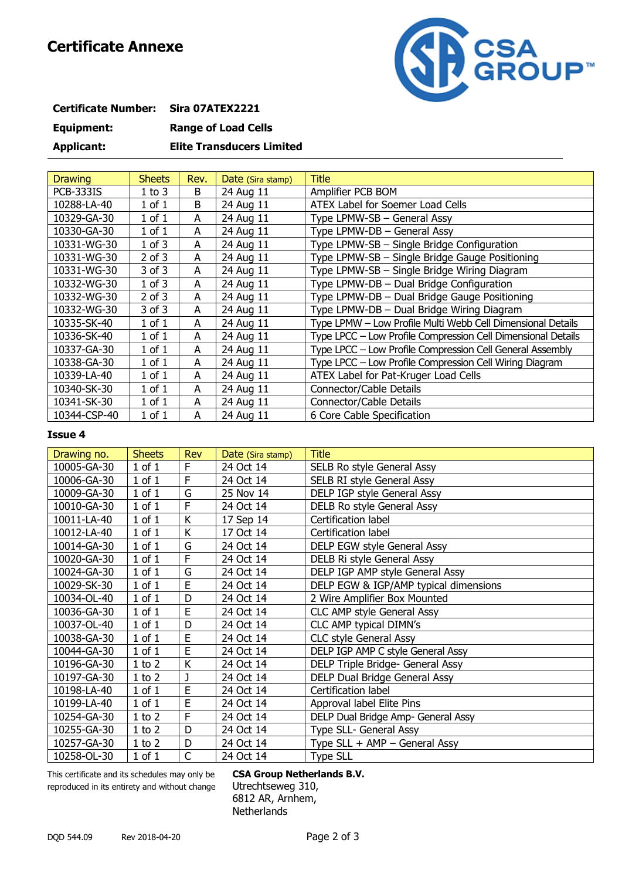

| <b>Certificate Number:</b> | Sira 07ATEX2221                  |
|----------------------------|----------------------------------|
| Equipment:                 | <b>Range of Load Cells</b>       |
| <b>Applicant:</b>          | <b>Elite Transducers Limited</b> |

| <b>Drawing</b>   | <b>Sheets</b> | Rev. | Date (Sira stamp) | <b>Title</b>                                                 |
|------------------|---------------|------|-------------------|--------------------------------------------------------------|
| <b>PCB-333IS</b> | $1$ to $3$    | B    | 24 Aug 11         | Amplifier PCB BOM                                            |
| 10288-LA-40      | $1$ of $1$    | B    | 24 Aug 11         | ATEX Label for Soemer Load Cells                             |
| 10329-GA-30      | $1$ of $1$    | A    | 24 Aug 11         | Type LPMW-SB - General Assy                                  |
| 10330-GA-30      | $1$ of $1$    | A    | 24 Aug 11         | Type LPMW-DB - General Assy                                  |
| 10331-WG-30      | $1$ of $3$    | A    | 24 Aug 11         | Type LPMW-SB - Single Bridge Configuration                   |
| 10331-WG-30      | 2 of 3        | A    | 24 Aug 11         | Type LPMW-SB - Single Bridge Gauge Positioning               |
| 10331-WG-30      | 3 of 3        | A    | 24 Aug 11         | Type LPMW-SB - Single Bridge Wiring Diagram                  |
| 10332-WG-30      | $1$ of $3$    | A    | 24 Aug 11         | Type LPMW-DB - Dual Bridge Configuration                     |
| 10332-WG-30      | $2$ of $3$    | A    | 24 Aug 11         | Type LPMW-DB - Dual Bridge Gauge Positioning                 |
| 10332-WG-30      | 3 of 3        | A    | 24 Aug 11         | Type LPMW-DB - Dual Bridge Wiring Diagram                    |
| 10335-SK-40      | $1$ of $1$    | A    | 24 Aug 11         | Type LPMW - Low Profile Multi Webb Cell Dimensional Details  |
| 10336-SK-40      | $1$ of $1$    | A    | 24 Aug 11         | Type LPCC - Low Profile Compression Cell Dimensional Details |
| 10337-GA-30      | $1$ of $1$    | A    | 24 Aug 11         | Type LPCC - Low Profile Compression Cell General Assembly    |
| 10338-GA-30      | $1$ of $1$    | A    | 24 Aug 11         | Type LPCC - Low Profile Compression Cell Wiring Diagram      |
| 10339-LA-40      | $1$ of $1$    | A    | 24 Aug 11         | ATEX Label for Pat-Kruger Load Cells                         |
| 10340-SK-30      | $1$ of $1$    | A    | 24 Aug 11         | Connector/Cable Details                                      |
| 10341-SK-30      | $1$ of $1$    | A    | 24 Aug 11         | Connector/Cable Details                                      |
| 10344-CSP-40     | $1$ of $1$    | A    | 24 Aug 11         | 6 Core Cable Specification                                   |

#### **Issue 4**

| Drawing no. | <b>Sheets</b> | <b>Rev</b> | Date (Sira stamp) | <b>Title</b>                          |
|-------------|---------------|------------|-------------------|---------------------------------------|
| 10005-GA-30 | $1$ of $1$    | F          | 24 Oct 14         | SELB Ro style General Assy            |
| 10006-GA-30 | $1$ of $1$    | F          | 24 Oct 14         | SELB RI style General Assy            |
| 10009-GA-30 | $1$ of $1$    | G          | 25 Nov 14         | DELP IGP style General Assy           |
| 10010-GA-30 | $1$ of $1$    | F          | 24 Oct 14         | DELB Ro style General Assy            |
| 10011-LA-40 | $1$ of $1$    | Κ          | 17 Sep 14         | Certification label                   |
| 10012-LA-40 | $1$ of $1$    | Κ          | 17 Oct 14         | Certification label                   |
| 10014-GA-30 | $1$ of $1$    | G          | 24 Oct 14         | DELP EGW style General Assy           |
| 10020-GA-30 | $1$ of $1$    | F          | 24 Oct 14         | DELB Ri style General Assy            |
| 10024-GA-30 | $1$ of $1$    | G          | 24 Oct 14         | DELP IGP AMP style General Assy       |
| 10029-SK-30 | $1$ of $1$    | E          | 24 Oct 14         | DELP EGW & IGP/AMP typical dimensions |
| 10034-OL-40 | $1$ of $1$    | D          | 24 Oct 14         | 2 Wire Amplifier Box Mounted          |
| 10036-GA-30 | $1$ of $1$    | E          | 24 Oct 14         | <b>CLC AMP style General Assy</b>     |
| 10037-OL-40 | $1$ of $1$    | D          | 24 Oct 14         | CLC AMP typical DIMN's                |
| 10038-GA-30 | $1$ of $1$    | E          | 24 Oct 14         | <b>CLC style General Assy</b>         |
| 10044-GA-30 | $1$ of $1$    | E          | 24 Oct 14         | DELP IGP AMP C style General Assy     |
| 10196-GA-30 | $1$ to $2$    | K          | 24 Oct 14         | DELP Triple Bridge- General Assy      |
| 10197-GA-30 | $1$ to $2$    | J          | 24 Oct 14         | DELP Dual Bridge General Assy         |
| 10198-LA-40 | $1$ of $1$    | E          | 24 Oct 14         | Certification label                   |
| 10199-LA-40 | $1$ of $1$    | E          | 24 Oct 14         | Approval label Elite Pins             |
| 10254-GA-30 | $1$ to $2$    | F          | 24 Oct 14         | DELP Dual Bridge Amp- General Assy    |
| 10255-GA-30 | $1$ to $2$    | D          | 24 Oct 14         | Type SLL- General Assy                |
| 10257-GA-30 | $1$ to $2$    | D          | 24 Oct 14         | Type SLL + AMP - General Assy         |
| 10258-OL-30 | $1$ of $1$    | C          | 24 Oct 14         | <b>Type SLL</b>                       |

This certificate and its schedules may only be **CSA Group Netherlands B.V.** reproduced in its entirety and without change Utrechtseweg 310,

6812 AR, Arnhem, **Netherlands**